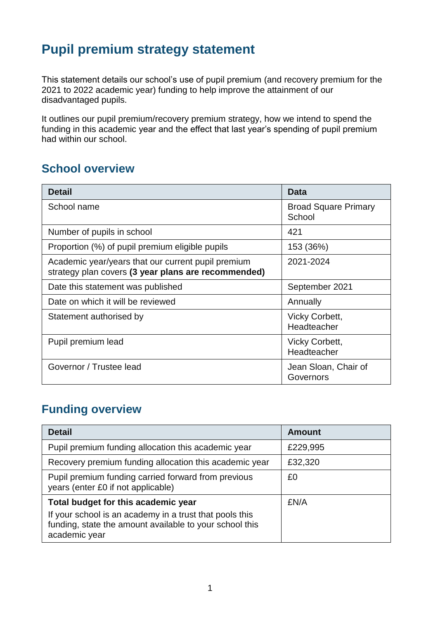# **Pupil premium strategy statement**

This statement details our school's use of pupil premium (and recovery premium for the 2021 to 2022 academic year) funding to help improve the attainment of our disadvantaged pupils.

It outlines our pupil premium/recovery premium strategy, how we intend to spend the funding in this academic year and the effect that last year's spending of pupil premium had within our school.

## **School overview**

| <b>Detail</b>                                                                                             | <b>Data</b>                           |
|-----------------------------------------------------------------------------------------------------------|---------------------------------------|
| School name                                                                                               | <b>Broad Square Primary</b><br>School |
| Number of pupils in school                                                                                | 421                                   |
| Proportion (%) of pupil premium eligible pupils                                                           | 153 (36%)                             |
| Academic year/years that our current pupil premium<br>strategy plan covers (3 year plans are recommended) | 2021-2024                             |
| Date this statement was published                                                                         | September 2021                        |
| Date on which it will be reviewed                                                                         | Annually                              |
| Statement authorised by                                                                                   | <b>Vicky Corbett,</b><br>Headteacher  |
| Pupil premium lead                                                                                        | <b>Vicky Corbett,</b><br>Headteacher  |
| Governor / Trustee lead                                                                                   | Jean Sloan, Chair of<br>Governors     |

## **Funding overview**

| <b>Detail</b>                                                                                                                       | <b>Amount</b> |
|-------------------------------------------------------------------------------------------------------------------------------------|---------------|
| Pupil premium funding allocation this academic year                                                                                 | £229,995      |
| Recovery premium funding allocation this academic year                                                                              | £32,320       |
| Pupil premium funding carried forward from previous<br>years (enter £0 if not applicable)                                           | £0            |
| Total budget for this academic year                                                                                                 | £N/A          |
| If your school is an academy in a trust that pools this<br>funding, state the amount available to your school this<br>academic year |               |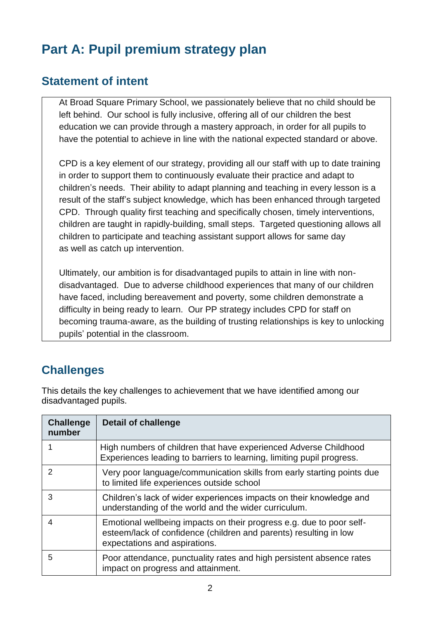# **Part A: Pupil premium strategy plan**

#### **Statement of intent**

At Broad Square Primary School, we passionately believe that no child should be left behind. Our school is fully inclusive, offering all of our children the best education we can provide through a mastery approach, in order for all pupils to have the potential to achieve in line with the national expected standard or above.

CPD is a key element of our strategy, providing all our staff with up to date training in order to support them to continuously evaluate their practice and adapt to children's needs. Their ability to adapt planning and teaching in every lesson is a result of the staff's subject knowledge, which has been enhanced through targeted CPD. Through quality first teaching and specifically chosen, timely interventions, children are taught in rapidly-building, small steps. Targeted questioning allows all children to participate and teaching assistant support allows for same day as well as catch up intervention.

Ultimately, our ambition is for disadvantaged pupils to attain in line with nondisadvantaged. Due to adverse childhood experiences that many of our children have faced, including bereavement and poverty, some children demonstrate a difficulty in being ready to learn. Our PP strategy includes CPD for staff on becoming trauma-aware, as the building of trusting relationships is key to unlocking pupils' potential in the classroom.

## **Challenges**

This details the key challenges to achievement that we have identified among our disadvantaged pupils.

| <b>Challenge</b><br>number | <b>Detail of challenge</b>                                                                                                                                                 |
|----------------------------|----------------------------------------------------------------------------------------------------------------------------------------------------------------------------|
|                            | High numbers of children that have experienced Adverse Childhood<br>Experiences leading to barriers to learning, limiting pupil progress.                                  |
| 2                          | Very poor language/communication skills from early starting points due<br>to limited life experiences outside school                                                       |
| 3                          | Children's lack of wider experiences impacts on their knowledge and<br>understanding of the world and the wider curriculum.                                                |
| 4                          | Emotional wellbeing impacts on their progress e.g. due to poor self-<br>esteem/lack of confidence (children and parents) resulting in low<br>expectations and aspirations. |
| 5                          | Poor attendance, punctuality rates and high persistent absence rates<br>impact on progress and attainment.                                                                 |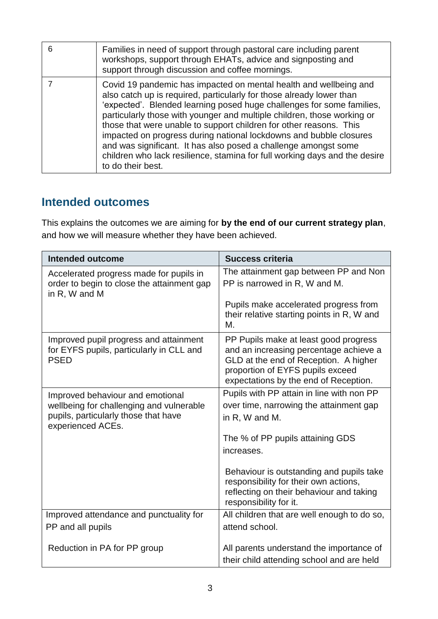| 6 | Families in need of support through pastoral care including parent<br>workshops, support through EHATs, advice and signposting and<br>support through discussion and coffee mornings.                                                                                                                                                                                                                                                                                                                                                                                                                           |
|---|-----------------------------------------------------------------------------------------------------------------------------------------------------------------------------------------------------------------------------------------------------------------------------------------------------------------------------------------------------------------------------------------------------------------------------------------------------------------------------------------------------------------------------------------------------------------------------------------------------------------|
|   | Covid 19 pandemic has impacted on mental health and wellbeing and<br>also catch up is required, particularly for those already lower than<br>'expected'. Blended learning posed huge challenges for some families,<br>particularly those with younger and multiple children, those working or<br>those that were unable to support children for other reasons. This<br>impacted on progress during national lockdowns and bubble closures<br>and was significant. It has also posed a challenge amongst some<br>children who lack resilience, stamina for full working days and the desire<br>to do their best. |

#### **Intended outcomes**

This explains the outcomes we are aiming for **by the end of our current strategy plan**, and how we will measure whether they have been achieved.

| <b>Intended outcome</b>                                                                                                                   | <b>Success criteria</b>                                                                                                                                                                               |
|-------------------------------------------------------------------------------------------------------------------------------------------|-------------------------------------------------------------------------------------------------------------------------------------------------------------------------------------------------------|
| Accelerated progress made for pupils in<br>order to begin to close the attainment gap<br>in R, W and M                                    | The attainment gap between PP and Non<br>PP is narrowed in R, W and M.                                                                                                                                |
|                                                                                                                                           | Pupils make accelerated progress from<br>their relative starting points in R, W and<br>М.                                                                                                             |
| Improved pupil progress and attainment<br>for EYFS pupils, particularly in CLL and<br><b>PSED</b>                                         | PP Pupils make at least good progress<br>and an increasing percentage achieve a<br>GLD at the end of Reception. A higher<br>proportion of EYFS pupils exceed<br>expectations by the end of Reception. |
| Improved behaviour and emotional<br>wellbeing for challenging and vulnerable<br>pupils, particularly those that have<br>experienced ACEs. | Pupils with PP attain in line with non PP<br>over time, narrowing the attainment gap<br>in R, W and M.                                                                                                |
|                                                                                                                                           | The % of PP pupils attaining GDS<br>increases.                                                                                                                                                        |
|                                                                                                                                           | Behaviour is outstanding and pupils take<br>responsibility for their own actions,<br>reflecting on their behaviour and taking<br>responsibility for it.                                               |
| Improved attendance and punctuality for                                                                                                   | All children that are well enough to do so,                                                                                                                                                           |
| PP and all pupils                                                                                                                         | attend school.                                                                                                                                                                                        |
| Reduction in PA for PP group                                                                                                              | All parents understand the importance of<br>their child attending school and are held                                                                                                                 |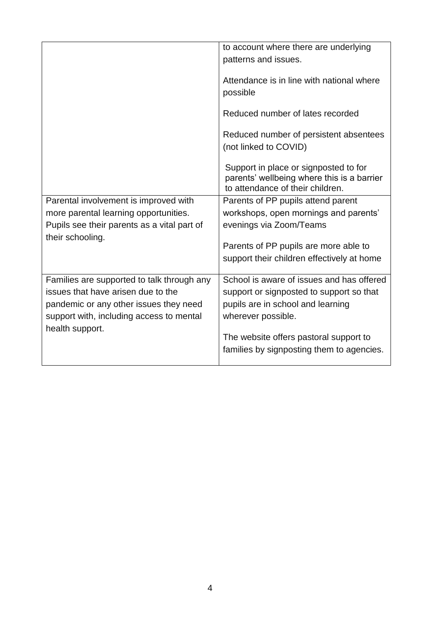|                                                                 | to account where there are underlying<br>patterns and issues.                                                           |
|-----------------------------------------------------------------|-------------------------------------------------------------------------------------------------------------------------|
|                                                                 | Attendance is in line with national where<br>possible                                                                   |
|                                                                 | Reduced number of lates recorded                                                                                        |
|                                                                 | Reduced number of persistent absentees<br>(not linked to COVID)                                                         |
|                                                                 | Support in place or signposted to for<br>parents' wellbeing where this is a barrier<br>to attendance of their children. |
| Parental involvement is improved with                           | Parents of PP pupils attend parent                                                                                      |
| more parental learning opportunities.                           | workshops, open mornings and parents'                                                                                   |
| Pupils see their parents as a vital part of<br>their schooling. | evenings via Zoom/Teams                                                                                                 |
|                                                                 | Parents of PP pupils are more able to                                                                                   |
|                                                                 | support their children effectively at home                                                                              |
| Families are supported to talk through any                      | School is aware of issues and has offered                                                                               |
| issues that have arisen due to the                              | support or signposted to support so that                                                                                |
| pandemic or any other issues they need                          | pupils are in school and learning                                                                                       |
| support with, including access to mental<br>health support.     | wherever possible.                                                                                                      |
|                                                                 | The website offers pastoral support to                                                                                  |
|                                                                 | families by signposting them to agencies.                                                                               |
|                                                                 |                                                                                                                         |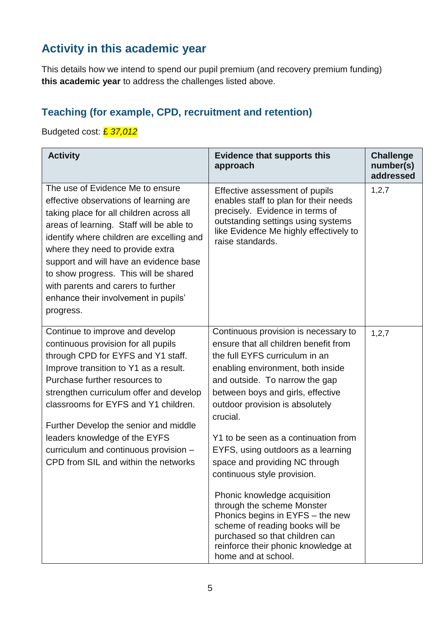## **Activity in this academic year**

This details how we intend to spend our pupil premium (and recovery premium funding) **this academic year** to address the challenges listed above.

## **Teaching (for example, CPD, recruitment and retention)**

#### Budgeted cost: £ *37,012*

| <b>Activity</b>                                                                                                                                                                                                                                                                                                                                                                                                                      | <b>Evidence that supports this</b><br>approach                                                                                                                                                                                                                                                                                                                                                                                                                                                                                                                                                                                                                 | <b>Challenge</b><br>number(s)<br>addressed |
|--------------------------------------------------------------------------------------------------------------------------------------------------------------------------------------------------------------------------------------------------------------------------------------------------------------------------------------------------------------------------------------------------------------------------------------|----------------------------------------------------------------------------------------------------------------------------------------------------------------------------------------------------------------------------------------------------------------------------------------------------------------------------------------------------------------------------------------------------------------------------------------------------------------------------------------------------------------------------------------------------------------------------------------------------------------------------------------------------------------|--------------------------------------------|
| The use of Evidence Me to ensure<br>effective observations of learning are<br>taking place for all children across all<br>areas of learning. Staff will be able to<br>identify where children are excelling and<br>where they need to provide extra<br>support and will have an evidence base<br>to show progress. This will be shared<br>with parents and carers to further<br>enhance their involvement in pupils'<br>progress.    | Effective assessment of pupils<br>enables staff to plan for their needs<br>precisely. Evidence in terms of<br>outstanding settings using systems<br>like Evidence Me highly effectively to<br>raise standards.                                                                                                                                                                                                                                                                                                                                                                                                                                                 | 1, 2, 7                                    |
| Continue to improve and develop<br>continuous provision for all pupils<br>through CPD for EYFS and Y1 staff.<br>Improve transition to Y1 as a result.<br>Purchase further resources to<br>strengthen curriculum offer and develop<br>classrooms for EYFS and Y1 children.<br>Further Develop the senior and middle<br>leaders knowledge of the EYFS<br>curriculum and continuous provision -<br>CPD from SIL and within the networks | Continuous provision is necessary to<br>ensure that all children benefit from<br>the full EYFS curriculum in an<br>enabling environment, both inside<br>and outside. To narrow the gap<br>between boys and girls, effective<br>outdoor provision is absolutely<br>crucial.<br>Y1 to be seen as a continuation from<br>EYFS, using outdoors as a learning<br>space and providing NC through<br>continuous style provision.<br>Phonic knowledge acquisition<br>through the scheme Monster<br>Phonics begins in EYFS - the new<br>scheme of reading books will be<br>purchased so that children can<br>reinforce their phonic knowledge at<br>home and at school. | 1, 2, 7                                    |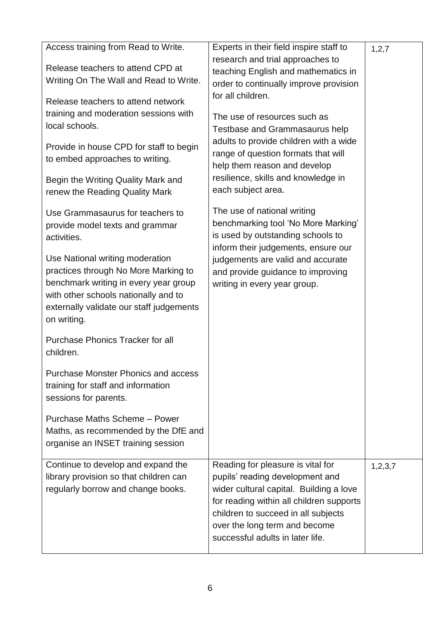| Access training from Read to Write.                                                                                                                                                                                 | Experts in their field inspire staff to                                                                                                                                                                                                                                 | 1, 2, 7 |
|---------------------------------------------------------------------------------------------------------------------------------------------------------------------------------------------------------------------|-------------------------------------------------------------------------------------------------------------------------------------------------------------------------------------------------------------------------------------------------------------------------|---------|
| Release teachers to attend CPD at<br>Writing On The Wall and Read to Write.                                                                                                                                         | research and trial approaches to<br>teaching English and mathematics in<br>order to continually improve provision                                                                                                                                                       |         |
| Release teachers to attend network                                                                                                                                                                                  | for all children.                                                                                                                                                                                                                                                       |         |
| training and moderation sessions with<br>local schools.                                                                                                                                                             | The use of resources such as<br>Testbase and Grammasaurus help                                                                                                                                                                                                          |         |
| Provide in house CPD for staff to begin<br>to embed approaches to writing.                                                                                                                                          | adults to provide children with a wide<br>range of question formats that will<br>help them reason and develop                                                                                                                                                           |         |
| Begin the Writing Quality Mark and<br>renew the Reading Quality Mark                                                                                                                                                | resilience, skills and knowledge in<br>each subject area.                                                                                                                                                                                                               |         |
| Use Grammasaurus for teachers to<br>provide model texts and grammar<br>activities.                                                                                                                                  | The use of national writing<br>benchmarking tool 'No More Marking'<br>is used by outstanding schools to<br>inform their judgements, ensure our                                                                                                                          |         |
| Use National writing moderation<br>practices through No More Marking to<br>benchmark writing in every year group<br>with other schools nationally and to<br>externally validate our staff judgements<br>on writing. | judgements are valid and accurate<br>and provide guidance to improving<br>writing in every year group.                                                                                                                                                                  |         |
| <b>Purchase Phonics Tracker for all</b><br>children.                                                                                                                                                                |                                                                                                                                                                                                                                                                         |         |
| <b>Purchase Monster Phonics and access</b><br>training for staff and information<br>sessions for parents.                                                                                                           |                                                                                                                                                                                                                                                                         |         |
| Purchase Maths Scheme - Power<br>Maths, as recommended by the DfE and<br>organise an INSET training session                                                                                                         |                                                                                                                                                                                                                                                                         |         |
| Continue to develop and expand the<br>library provision so that children can<br>regularly borrow and change books.                                                                                                  | Reading for pleasure is vital for<br>pupils' reading development and<br>wider cultural capital. Building a love<br>for reading within all children supports<br>children to succeed in all subjects<br>over the long term and become<br>successful adults in later life. | 1,2,3,7 |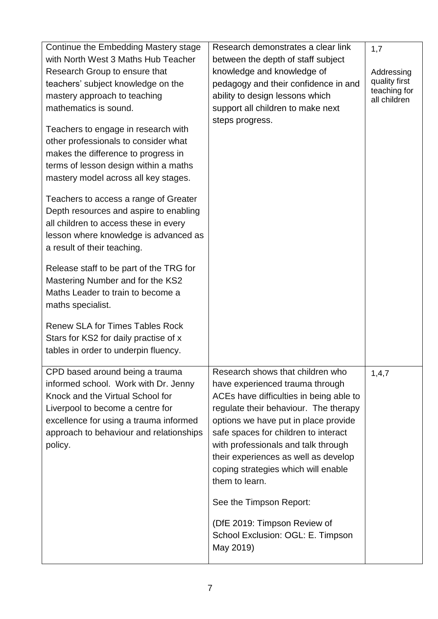| Continue the Embedding Mastery stage                                                                                                                                                                                                            | Research demonstrates a clear link                                                                                                                                                                                                                                                                                                                                              | 1,7                          |
|-------------------------------------------------------------------------------------------------------------------------------------------------------------------------------------------------------------------------------------------------|---------------------------------------------------------------------------------------------------------------------------------------------------------------------------------------------------------------------------------------------------------------------------------------------------------------------------------------------------------------------------------|------------------------------|
| with North West 3 Maths Hub Teacher                                                                                                                                                                                                             | between the depth of staff subject                                                                                                                                                                                                                                                                                                                                              |                              |
| Research Group to ensure that                                                                                                                                                                                                                   | knowledge and knowledge of                                                                                                                                                                                                                                                                                                                                                      | Addressing                   |
| teachers' subject knowledge on the                                                                                                                                                                                                              | pedagogy and their confidence in and                                                                                                                                                                                                                                                                                                                                            | quality first                |
| mastery approach to teaching                                                                                                                                                                                                                    | ability to design lessons which                                                                                                                                                                                                                                                                                                                                                 | teaching for<br>all children |
| mathematics is sound.                                                                                                                                                                                                                           | support all children to make next                                                                                                                                                                                                                                                                                                                                               |                              |
| Teachers to engage in research with<br>other professionals to consider what<br>makes the difference to progress in<br>terms of lesson design within a maths<br>mastery model across all key stages.                                             | steps progress.                                                                                                                                                                                                                                                                                                                                                                 |                              |
| Teachers to access a range of Greater<br>Depth resources and aspire to enabling<br>all children to access these in every<br>lesson where knowledge is advanced as<br>a result of their teaching.                                                |                                                                                                                                                                                                                                                                                                                                                                                 |                              |
| Release staff to be part of the TRG for<br>Mastering Number and for the KS2<br>Maths Leader to train to become a<br>maths specialist.                                                                                                           |                                                                                                                                                                                                                                                                                                                                                                                 |                              |
| <b>Renew SLA for Times Tables Rock</b><br>Stars for KS2 for daily practise of x<br>tables in order to underpin fluency.                                                                                                                         |                                                                                                                                                                                                                                                                                                                                                                                 |                              |
| CPD based around being a trauma<br>informed school. Work with Dr. Jenny<br>Knock and the Virtual School for<br>Liverpool to become a centre for<br>excellence for using a trauma informed<br>approach to behaviour and relationships<br>policy. | Research shows that children who<br>have experienced trauma through<br>ACEs have difficulties in being able to<br>regulate their behaviour. The therapy<br>options we have put in place provide<br>safe spaces for children to interact<br>with professionals and talk through<br>their experiences as well as develop<br>coping strategies which will enable<br>them to learn. | 1,4,7                        |
|                                                                                                                                                                                                                                                 | See the Timpson Report:                                                                                                                                                                                                                                                                                                                                                         |                              |
|                                                                                                                                                                                                                                                 | (DfE 2019: Timpson Review of<br>School Exclusion: OGL: E. Timpson<br>May 2019)                                                                                                                                                                                                                                                                                                  |                              |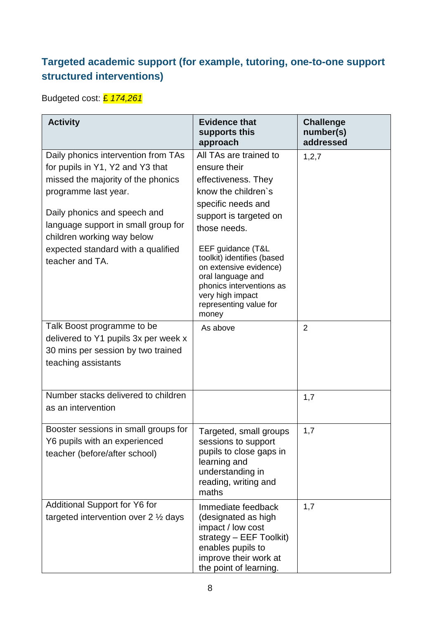## **Targeted academic support (for example, tutoring, one-to-one support structured interventions)**

Budgeted cost: £ *174,261*

| <b>Activity</b>                                                                                                                                                                                                                                                                                     | <b>Evidence that</b><br>supports this<br>approach                                                                                                                                                                                                                                                                                         | <b>Challenge</b><br>number(s)<br>addressed |
|-----------------------------------------------------------------------------------------------------------------------------------------------------------------------------------------------------------------------------------------------------------------------------------------------------|-------------------------------------------------------------------------------------------------------------------------------------------------------------------------------------------------------------------------------------------------------------------------------------------------------------------------------------------|--------------------------------------------|
| Daily phonics intervention from TAs<br>for pupils in Y1, Y2 and Y3 that<br>missed the majority of the phonics<br>programme last year.<br>Daily phonics and speech and<br>language support in small group for<br>children working way below<br>expected standard with a qualified<br>teacher and TA. | All TAs are trained to<br>ensure their<br>effectiveness. They<br>know the children's<br>specific needs and<br>support is targeted on<br>those needs.<br>EEF guidance (T&L<br>toolkit) identifies (based<br>on extensive evidence)<br>oral language and<br>phonics interventions as<br>very high impact<br>representing value for<br>money | 1, 2, 7                                    |
| Talk Boost programme to be<br>delivered to Y1 pupils 3x per week x<br>30 mins per session by two trained<br>teaching assistants                                                                                                                                                                     | As above                                                                                                                                                                                                                                                                                                                                  | $\overline{2}$                             |
| Number stacks delivered to children<br>as an intervention                                                                                                                                                                                                                                           |                                                                                                                                                                                                                                                                                                                                           | 1,7                                        |
| Booster sessions in small groups for<br>Y6 pupils with an experienced<br>teacher (before/after school)                                                                                                                                                                                              | Targeted, small groups<br>sessions to support<br>pupils to close gaps in<br>learning and<br>understanding in<br>reading, writing and<br>maths                                                                                                                                                                                             | 1,7                                        |
| <b>Additional Support for Y6 for</b><br>targeted intervention over $2 \frac{1}{2}$ days                                                                                                                                                                                                             | Immediate feedback<br>(designated as high<br>impact / low cost<br>strategy - EEF Toolkit)<br>enables pupils to<br>improve their work at<br>the point of learning.                                                                                                                                                                         | 1,7                                        |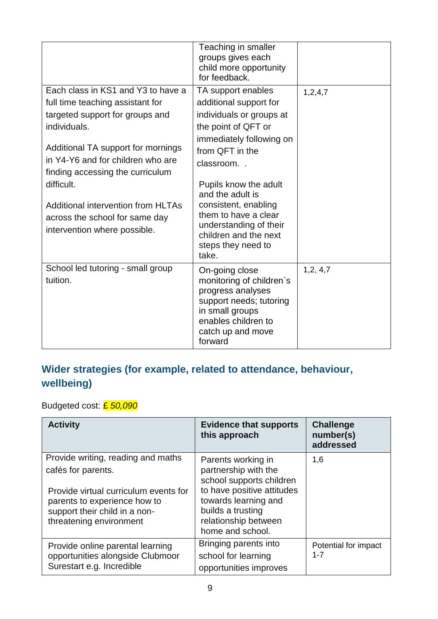|                                                                                                                                                                                                                                                                                                                                                                | Teaching in smaller<br>groups gives each<br>child more opportunity<br>for feedback.                                                                                                                                                                                                                                                        |            |
|----------------------------------------------------------------------------------------------------------------------------------------------------------------------------------------------------------------------------------------------------------------------------------------------------------------------------------------------------------------|--------------------------------------------------------------------------------------------------------------------------------------------------------------------------------------------------------------------------------------------------------------------------------------------------------------------------------------------|------------|
| Each class in KS1 and Y3 to have a<br>full time teaching assistant for<br>targeted support for groups and<br>individuals.<br>Additional TA support for mornings<br>in Y4-Y6 and for children who are<br>finding accessing the curriculum<br>difficult.<br>Additional intervention from HLTAs<br>across the school for same day<br>intervention where possible. | TA support enables<br>additional support for<br>individuals or groups at<br>the point of QFT or<br>immediately following on<br>from QFT in the<br>classroom<br>Pupils know the adult<br>and the adult is<br>consistent, enabling<br>them to have a clear<br>understanding of their<br>children and the next<br>steps they need to<br>take. | 1,2,4,7    |
| School led tutoring - small group<br>tuition.                                                                                                                                                                                                                                                                                                                  | On-going close<br>monitoring of children's<br>progress analyses<br>support needs; tutoring<br>in small groups<br>enables children to<br>catch up and move<br>forward                                                                                                                                                                       | 1, 2, 4, 7 |

## **Wider strategies (for example, related to attendance, behaviour, wellbeing)**

Budgeted cost: £ *50,090*

| <b>Activity</b>                                                                                                                                                                               | <b>Evidence that supports</b><br>this approach                                                                                                                                                | <b>Challenge</b><br>number(s)<br>addressed |
|-----------------------------------------------------------------------------------------------------------------------------------------------------------------------------------------------|-----------------------------------------------------------------------------------------------------------------------------------------------------------------------------------------------|--------------------------------------------|
| Provide writing, reading and maths<br>cafés for parents.<br>Provide virtual curriculum events for<br>parents to experience how to<br>support their child in a non-<br>threatening environment | Parents working in<br>partnership with the<br>school supports children<br>to have positive attitudes<br>towards learning and<br>builds a trusting<br>relationship between<br>home and school. | 1,6                                        |
| Provide online parental learning<br>opportunities alongside Clubmoor<br>Surestart e.g. Incredible                                                                                             | Bringing parents into<br>school for learning<br>opportunities improves                                                                                                                        | Potential for impact<br>$1 - 7$            |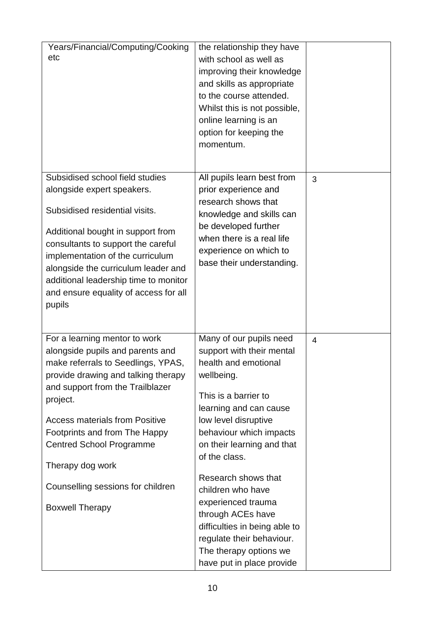| Years/Financial/Computing/Cooking<br>etc                                                                                                                                                                                                                                                                                                                             | the relationship they have<br>with school as well as<br>improving their knowledge<br>and skills as appropriate<br>to the course attended.<br>Whilst this is not possible,<br>online learning is an<br>option for keeping the<br>momentum.                                                                        |                |
|----------------------------------------------------------------------------------------------------------------------------------------------------------------------------------------------------------------------------------------------------------------------------------------------------------------------------------------------------------------------|------------------------------------------------------------------------------------------------------------------------------------------------------------------------------------------------------------------------------------------------------------------------------------------------------------------|----------------|
| Subsidised school field studies<br>alongside expert speakers.<br>Subsidised residential visits.<br>Additional bought in support from<br>consultants to support the careful<br>implementation of the curriculum<br>alongside the curriculum leader and<br>additional leadership time to monitor<br>and ensure equality of access for all<br>pupils                    | All pupils learn best from<br>prior experience and<br>research shows that<br>knowledge and skills can<br>be developed further<br>when there is a real life<br>experience on which to<br>base their understanding.                                                                                                | 3              |
| For a learning mentor to work<br>alongside pupils and parents and<br>make referrals to Seedlings, YPAS,<br>provide drawing and talking therapy<br>and support from the Trailblazer<br>project.<br><b>Access materials from Positive</b><br>Footprints and from The Happy<br><b>Centred School Programme</b><br>Therapy dog work<br>Counselling sessions for children | Many of our pupils need<br>support with their mental<br>health and emotional<br>wellbeing.<br>This is a barrier to<br>learning and can cause<br>low level disruptive<br>behaviour which impacts<br>on their learning and that<br>of the class.<br>Research shows that<br>children who have<br>experienced trauma | $\overline{4}$ |
| <b>Boxwell Therapy</b>                                                                                                                                                                                                                                                                                                                                               | through ACEs have<br>difficulties in being able to<br>regulate their behaviour.<br>The therapy options we<br>have put in place provide                                                                                                                                                                           |                |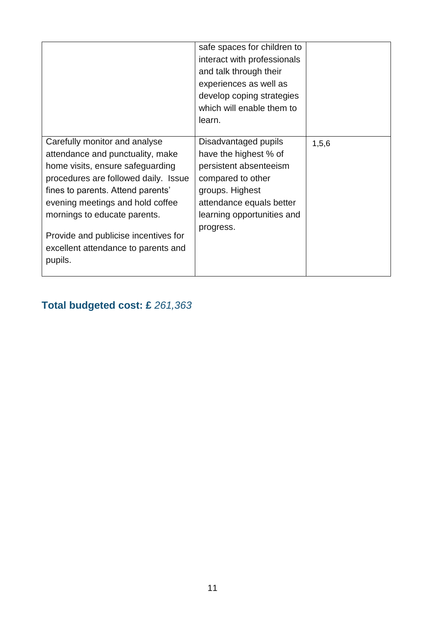|                                                                                                                                                                                                                                                                                                                                                  | safe spaces for children to<br>interact with professionals<br>and talk through their<br>experiences as well as<br>develop coping strategies<br>which will enable them to<br>learn.     |       |
|--------------------------------------------------------------------------------------------------------------------------------------------------------------------------------------------------------------------------------------------------------------------------------------------------------------------------------------------------|----------------------------------------------------------------------------------------------------------------------------------------------------------------------------------------|-------|
| Carefully monitor and analyse<br>attendance and punctuality, make<br>home visits, ensure safeguarding<br>procedures are followed daily. Issue<br>fines to parents. Attend parents'<br>evening meetings and hold coffee<br>mornings to educate parents.<br>Provide and publicise incentives for<br>excellent attendance to parents and<br>pupils. | Disadvantaged pupils<br>have the highest % of<br>persistent absenteeism<br>compared to other<br>groups. Highest<br>attendance equals better<br>learning opportunities and<br>progress. | 1,5,6 |

# **Total budgeted cost: £** *261,363*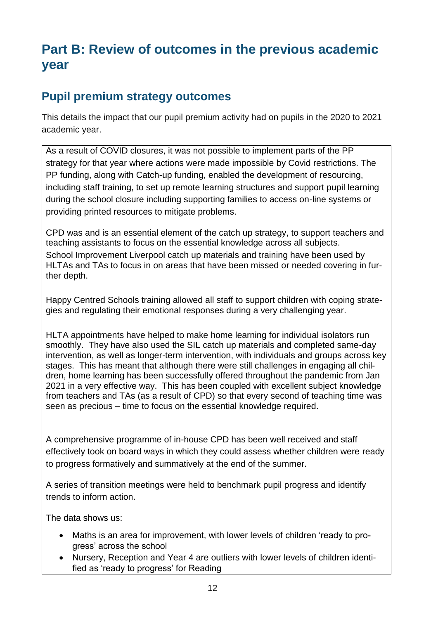# **Part B: Review of outcomes in the previous academic year**

## **Pupil premium strategy outcomes**

This details the impact that our pupil premium activity had on pupils in the 2020 to 2021 academic year.

As a result of COVID closures, it was not possible to implement parts of the PP strategy for that year where actions were made impossible by Covid restrictions. The PP funding, along with Catch-up funding, enabled the development of resourcing, including staff training, to set up remote learning structures and support pupil learning during the school closure including supporting families to access on-line systems or providing printed resources to mitigate problems.

CPD was and is an essential element of the catch up strategy, to support teachers and teaching assistants to focus on the essential knowledge across all subjects.

School Improvement Liverpool catch up materials and training have been used by HLTAs and TAs to focus in on areas that have been missed or needed covering in further depth.

Happy Centred Schools training allowed all staff to support children with coping strategies and regulating their emotional responses during a very challenging year.

HLTA appointments have helped to make home learning for individual isolators run smoothly. They have also used the SIL catch up materials and completed same-day intervention, as well as longer-term intervention, with individuals and groups across key stages. This has meant that although there were still challenges in engaging all children, home learning has been successfully offered throughout the pandemic from Jan 2021 in a very effective way. This has been coupled with excellent subject knowledge from teachers and TAs (as a result of CPD) so that every second of teaching time was seen as precious – time to focus on the essential knowledge required.

A comprehensive programme of in-house CPD has been well received and staff effectively took on board ways in which they could assess whether children were ready to progress formatively and summatively at the end of the summer.

A series of transition meetings were held to benchmark pupil progress and identify trends to inform action.

The data shows us:

- Maths is an area for improvement, with lower levels of children 'ready to progress' across the school
- Nursery, Reception and Year 4 are outliers with lower levels of children identified as 'ready to progress' for Reading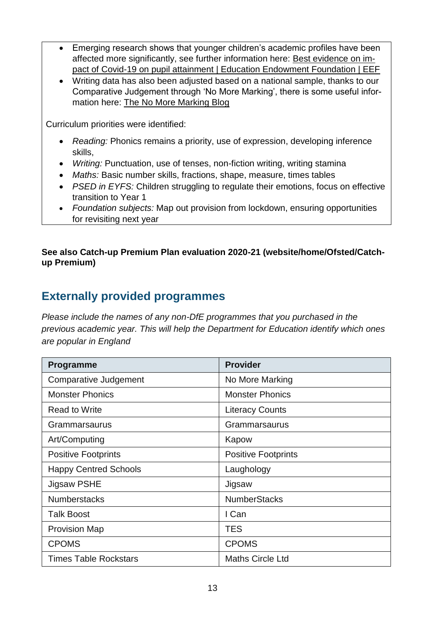- Emerging research shows that younger children's academic profiles have been affected more significantly, see further information here: [Best evidence on im](https://educationendowmentfoundation.org.uk/eef-support-for-schools/covid-19-resources/best-evidence-on-impact-of-school-closures-on-the-attainment-gap/)[pact of Covid-19 on pupil attainment | Education Endowment Foundation | EEF](https://educationendowmentfoundation.org.uk/eef-support-for-schools/covid-19-resources/best-evidence-on-impact-of-school-closures-on-the-attainment-gap/)
- Writing data has also been adjusted based on a national sample, thanks to our Comparative Judgement through 'No More Marking', there is some useful information here: [The No More Marking Blog](https://blog.nomoremarking.com/)

Curriculum priorities were identified:

- *Reading:* Phonics remains a priority, use of expression, developing inference skills,
- *Writing:* Punctuation, use of tenses, non-fiction writing, writing stamina
- *Maths:* Basic number skills, fractions, shape, measure, times tables
- *PSED in EYFS:* Children struggling to regulate their emotions, focus on effective transition to Year 1
- *Foundation subjects:* Map out provision from lockdown, ensuring opportunities for revisiting next year

#### **See also Catch-up Premium Plan evaluation 2020-21 (website/home/Ofsted/Catchup Premium)**

#### **Externally provided programmes**

*Please include the names of any non-DfE programmes that you purchased in the previous academic year. This will help the Department for Education identify which ones are popular in England*

| <b>Programme</b>             | <b>Provider</b>            |
|------------------------------|----------------------------|
| <b>Comparative Judgement</b> | No More Marking            |
| <b>Monster Phonics</b>       | <b>Monster Phonics</b>     |
| <b>Read to Write</b>         | <b>Literacy Counts</b>     |
| Grammarsaurus                | Grammarsaurus              |
| Art/Computing                | Kapow                      |
| <b>Positive Footprints</b>   | <b>Positive Footprints</b> |
| <b>Happy Centred Schools</b> | Laughology                 |
| Jigsaw PSHE                  | Jigsaw                     |
| <b>Numberstacks</b>          | <b>NumberStacks</b>        |
| <b>Talk Boost</b>            | I Can                      |
| <b>Provision Map</b>         | <b>TES</b>                 |
| <b>CPOMS</b>                 | <b>CPOMS</b>               |
| <b>Times Table Rockstars</b> | <b>Maths Circle Ltd</b>    |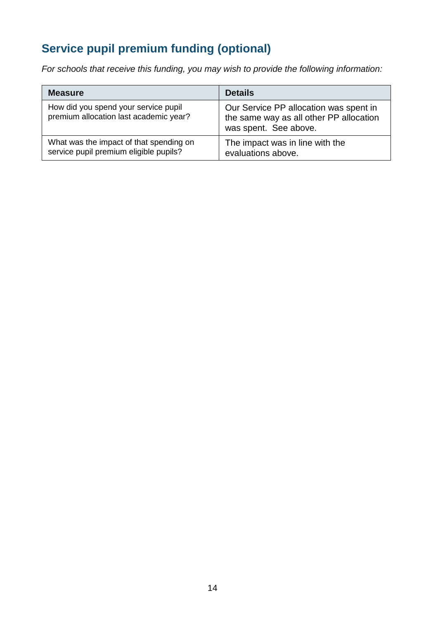# **Service pupil premium funding (optional)**

*For schools that receive this funding, you may wish to provide the following information:* 

| <b>Measure</b>                                                                    | <b>Details</b>                                                                                             |
|-----------------------------------------------------------------------------------|------------------------------------------------------------------------------------------------------------|
| How did you spend your service pupil<br>premium allocation last academic year?    | Our Service PP allocation was spent in<br>the same way as all other PP allocation<br>was spent. See above. |
| What was the impact of that spending on<br>service pupil premium eligible pupils? | The impact was in line with the<br>evaluations above.                                                      |